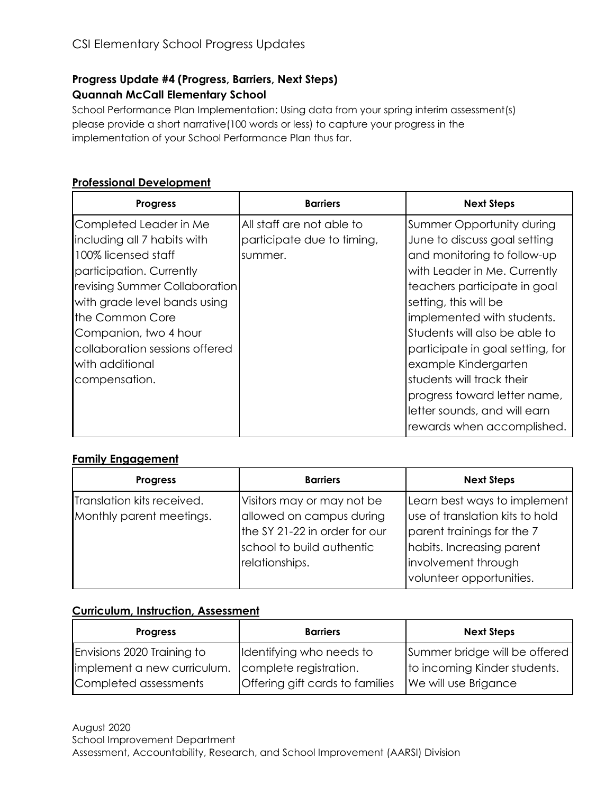# **Progress Update #4 (Progress, Barriers, Next Steps) Quannah McCall Elementary School**

School Performance Plan Implementation: Using data from your spring interim assessment(s) please provide a short narrative(100 words or less) to capture your progress in the implementation of your School Performance Plan thus far.

## **Professional Development**

| <b>Progress</b>                | <b>Barriers</b>            | <b>Next Steps</b>                |
|--------------------------------|----------------------------|----------------------------------|
| Completed Leader in Me         | All staff are not able to  | Summer Opportunity during        |
| including all 7 habits with    | participate due to timing, | June to discuss goal setting     |
| 100% licensed staff            | summer.                    | and monitoring to follow-up      |
| participation. Currently       |                            | with Leader in Me. Currently     |
| revising Summer Collaboration  |                            | teachers participate in goal     |
| with grade level bands using   |                            | setting, this will be            |
| the Common Core                |                            | implemented with students.       |
| Companion, two 4 hour          |                            | Students will also be able to    |
| collaboration sessions offered |                            | participate in goal setting, for |
| with additional                |                            | example Kindergarten             |
| compensation.                  |                            | students will track their        |
|                                |                            | progress toward letter name,     |
|                                |                            | letter sounds, and will earn     |
|                                |                            | rewards when accomplished.       |

## **Family Engagement**

| <b>Progress</b>            | <b>Barriers</b>               | <b>Next Steps</b>               |
|----------------------------|-------------------------------|---------------------------------|
| Translation kits received. | Visitors may or may not be    | Learn best ways to implement    |
| Monthly parent meetings.   | allowed on campus during      | use of translation kits to hold |
|                            | the SY 21-22 in order for our | parent trainings for the 7      |
|                            | school to build authentic     | habits. Increasing parent       |
|                            | relationships.                | involvement through             |
|                            |                               | volunteer opportunities.        |

#### **Curriculum, Instruction, Assessment**

| <b>Progress</b>             | <b>Barriers</b>                 | <b>Next Steps</b>             |
|-----------------------------|---------------------------------|-------------------------------|
| Envisions 2020 Training to  | Identifying who needs to        | Summer bridge will be offered |
| implement a new curriculum. | complete registration.          | to incoming Kinder students.  |
| Completed assessments       | Offering gift cards to families | We will use Brigance          |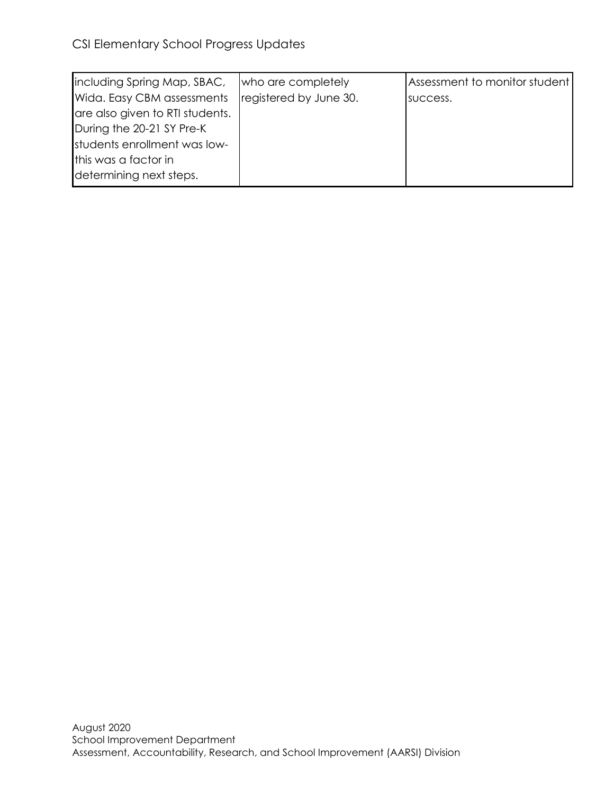| including Spring Map, SBAC,     | who are completely     | Assessment to monitor student |
|---------------------------------|------------------------|-------------------------------|
| Wida. Easy CBM assessments      | registered by June 30. | success.                      |
| are also given to RTI students. |                        |                               |
| During the 20-21 SY Pre-K       |                        |                               |
| students enrollment was low-    |                        |                               |
| this was a factor in            |                        |                               |
| determining next steps.         |                        |                               |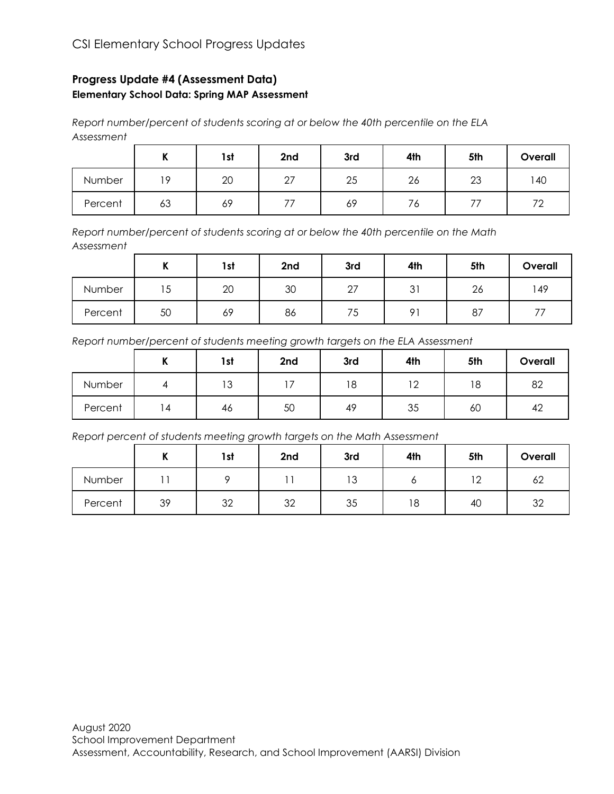## **Progress Update #4 (Assessment Data) Elementary School Data: Spring MAP Assessment**

*Report number/percent of students scoring at or below the 40th percentile on the ELA Assessment*

|         | .,<br> | 1st | 2nd          | 3rd | 4th | 5th | Overall              |
|---------|--------|-----|--------------|-----|-----|-----|----------------------|
| Number  | 19     | 20  | $\sim$<br>رے | 25  | 26  | 23  | l 40                 |
| Percent | 63     | 69  |              | 69  | ಂ   |     | 70<br>$\overline{ }$ |

*Report number/percent of students scoring at or below the 40th percentile on the Math Assessment*

|         | $\overline{ }$<br>. . | 1st | 2nd | 3rd | 4th                  | 5th | Overall |
|---------|-----------------------|-----|-----|-----|----------------------|-----|---------|
| Number  | Ē<br>l 5              | 20  | 30  | 27  | $\sim$ $\sim$<br>ັບເ | 26  | 149     |
| Percent | 50                    | 69  | 86  | 75  | $\Omega$ 1           | 87  |         |

*Report number/percent of students meeting growth targets on the ELA Assessment*

|         | .,<br>n | 1st | 2nd | 3rd | 4th          | 5th | Overall |
|---------|---------|-----|-----|-----|--------------|-----|---------|
| Number  |         | 13  |     | 18  | $\sim$<br>ॱ৴ | 18  | 82      |
| Percent | . 4     | 46  | 50  | 49  | 35           | 60  | 42      |

*Report percent of students meeting growth targets on the Math Assessment*

|         | v<br>" | 1st | 2nd | 3rd        | 4th | 5th                        | Overall |
|---------|--------|-----|-----|------------|-----|----------------------------|---------|
| Number  |        |     |     | 1.2<br>ت ، |     | $\overline{1}$ $\cap$<br>∸ | 62      |
| Percent | 39     | 32  | 32  | 35         | 18  | 40                         | 32      |